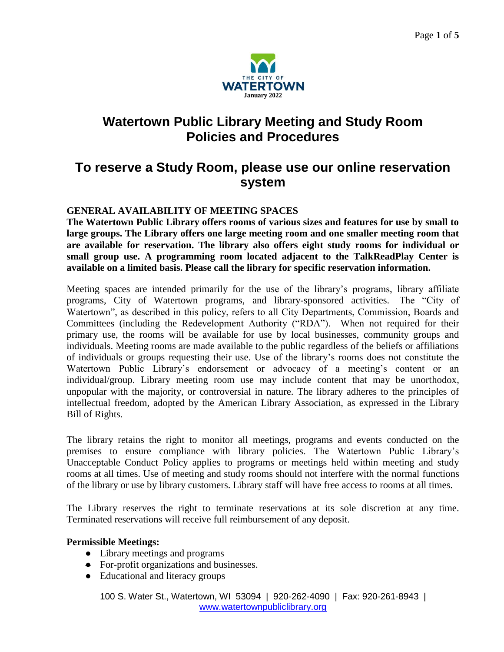

# **Watertown Public Library Meeting and Study Room Policies and Procedures**

# **To reserve a Study Room, please use our online reservation system**

# **GENERAL AVAILABILITY OF MEETING SPACES**

**The Watertown Public Library offers rooms of various sizes and features for use by small to large groups. The Library offers one large meeting room and one smaller meeting room that are available for reservation. The library also offers eight study rooms for individual or small group use. A programming room located adjacent to the TalkReadPlay Center is available on a limited basis. Please call the library for specific reservation information.**

Meeting spaces are intended primarily for the use of the library's programs, library affiliate programs, City of Watertown programs, and library-sponsored activities. The "City of Watertown", as described in this policy, refers to all City Departments, Commission, Boards and Committees (including the Redevelopment Authority ("RDA"). When not required for their primary use, the rooms will be available for use by local businesses, community groups and individuals. Meeting rooms are made available to the public regardless of the beliefs or affiliations of individuals or groups requesting their use. Use of the library's rooms does not constitute the Watertown Public Library's endorsement or advocacy of a meeting's content or an individual/group. Library meeting room use may include content that may be unorthodox, unpopular with the majority, or controversial in nature. The library adheres to the principles of intellectual freedom, adopted by the American Library Association, as expressed in the Library Bill of Rights.

The library retains the right to monitor all meetings, programs and events conducted on the premises to ensure compliance with library policies. The Watertown Public Library's Unacceptable Conduct Policy applies to programs or meetings held within meeting and study rooms at all times. Use of meeting and study rooms should not interfere with the normal functions of the library or use by library customers. Library staff will have free access to rooms at all times.

The Library reserves the right to terminate reservations at its sole discretion at any time. Terminated reservations will receive full reimbursement of any deposit.

#### **Permissible Meetings:**

- Library meetings and programs
- For-profit organizations and businesses.
- Educational and literacy groups

100 S. Water St., Watertown, WI 53094 | 920-262-4090 | Fax: 920-261-8943 | [www.watertownpubliclibrary.org](http://www.watertownpubliclibrary.org/)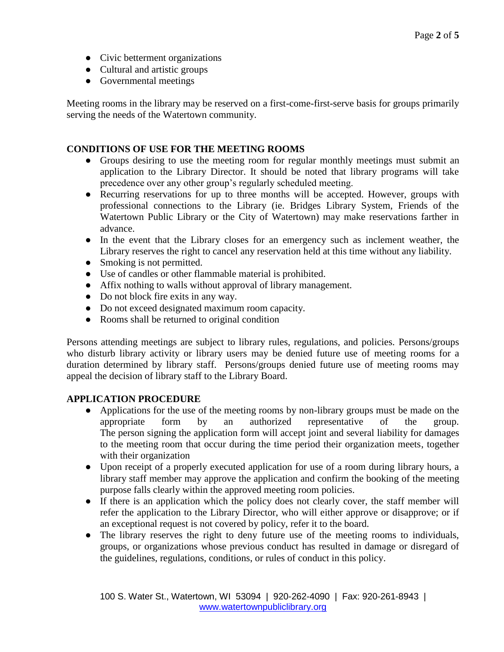- Civic betterment organizations
- Cultural and artistic groups
- Governmental meetings

Meeting rooms in the library may be reserved on a first-come-first-serve basis for groups primarily serving the needs of the Watertown community.

#### **CONDITIONS OF USE FOR THE MEETING ROOMS**

- Groups desiring to use the meeting room for regular monthly meetings must submit an application to the Library Director. It should be noted that library programs will take precedence over any other group's regularly scheduled meeting.
- Recurring reservations for up to three months will be accepted. However, groups with professional connections to the Library (ie. Bridges Library System, Friends of the Watertown Public Library or the City of Watertown) may make reservations farther in advance.
- In the event that the Library closes for an emergency such as inclement weather, the Library reserves the right to cancel any reservation held at this time without any liability.
- Smoking is not permitted.
- Use of candles or other flammable material is prohibited.
- Affix nothing to walls without approval of library management.
- Do not block fire exits in any way.
- Do not exceed designated maximum room capacity.
- Rooms shall be returned to original condition

Persons attending meetings are subject to library rules, regulations, and policies. Persons/groups who disturb library activity or library users may be denied future use of meeting rooms for a duration determined by library staff. Persons/groups denied future use of meeting rooms may appeal the decision of library staff to the Library Board.

### **APPLICATION PROCEDURE**

- Applications for the use of the meeting rooms by non-library groups must be made on the appropriate form by an authorized representative of the group. The person signing the application form will accept joint and several liability for damages to the meeting room that occur during the time period their organization meets, together with their organization
- Upon receipt of a properly executed application for use of a room during library hours, a library staff member may approve the application and confirm the booking of the meeting purpose falls clearly within the approved meeting room policies.
- If there is an application which the policy does not clearly cover, the staff member will refer the application to the Library Director, who will either approve or disapprove; or if an exceptional request is not covered by policy, refer it to the board.
- The library reserves the right to deny future use of the meeting rooms to individuals, groups, or organizations whose previous conduct has resulted in damage or disregard of the guidelines, regulations, conditions, or rules of conduct in this policy.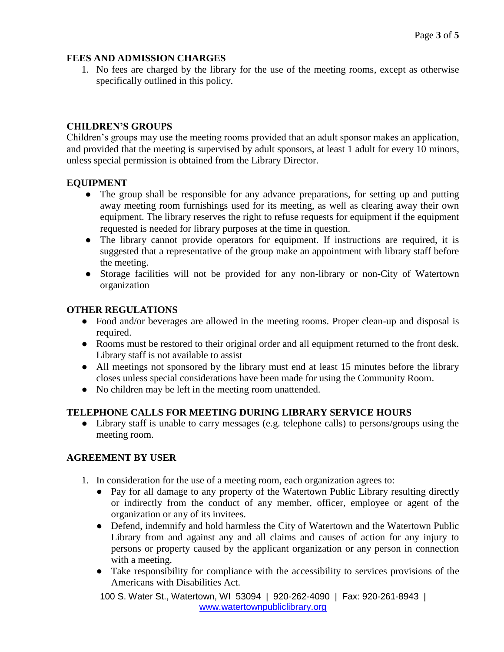### **FEES AND ADMISSION CHARGES**

1. No fees are charged by the library for the use of the meeting rooms, except as otherwise specifically outlined in this policy.

# **CHILDREN'S GROUPS**

Children's groups may use the meeting rooms provided that an adult sponsor makes an application, and provided that the meeting is supervised by adult sponsors, at least 1 adult for every 10 minors, unless special permission is obtained from the Library Director.

## **EQUIPMENT**

- The group shall be responsible for any advance preparations, for setting up and putting away meeting room furnishings used for its meeting, as well as clearing away their own equipment. The library reserves the right to refuse requests for equipment if the equipment requested is needed for library purposes at the time in question.
- The library cannot provide operators for equipment. If instructions are required, it is suggested that a representative of the group make an appointment with library staff before the meeting.
- Storage facilities will not be provided for any non-library or non-City of Watertown organization

## **OTHER REGULATIONS**

- Food and/or beverages are allowed in the meeting rooms. Proper clean-up and disposal is required.
- Rooms must be restored to their original order and all equipment returned to the front desk. Library staff is not available to assist
- All meetings not sponsored by the library must end at least 15 minutes before the library closes unless special considerations have been made for using the Community Room.
- No children may be left in the meeting room unattended.

# **TELEPHONE CALLS FOR MEETING DURING LIBRARY SERVICE HOURS**

• Library staff is unable to carry messages (e.g. telephone calls) to persons/groups using the meeting room.

# **AGREEMENT BY USER**

- 1. In consideration for the use of a meeting room, each organization agrees to:
	- Pay for all damage to any property of the Watertown Public Library resulting directly or indirectly from the conduct of any member, officer, employee or agent of the organization or any of its invitees.
	- Defend, indemnify and hold harmless the City of Watertown and the Watertown Public Library from and against any and all claims and causes of action for any injury to persons or property caused by the applicant organization or any person in connection with a meeting.
	- Take responsibility for compliance with the accessibility to services provisions of the Americans with Disabilities Act.

100 S. Water St., Watertown, WI 53094 | 920-262-4090 | Fax: 920-261-8943 | [www.watertownpubliclibrary.org](http://www.watertownpubliclibrary.org/)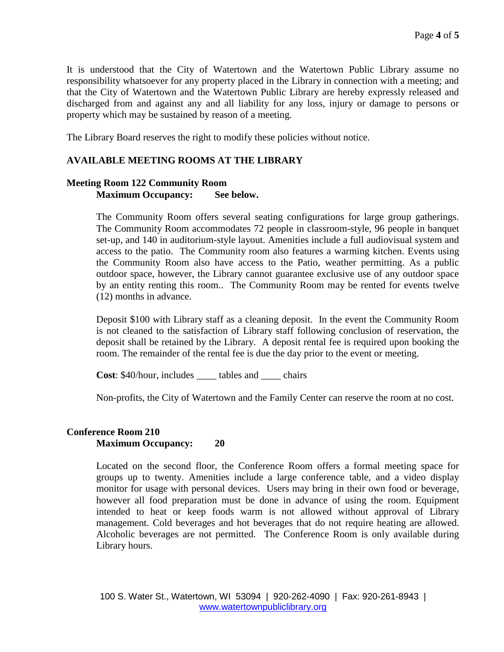It is understood that the City of Watertown and the Watertown Public Library assume no responsibility whatsoever for any property placed in the Library in connection with a meeting; and that the City of Watertown and the Watertown Public Library are hereby expressly released and discharged from and against any and all liability for any loss, injury or damage to persons or property which may be sustained by reason of a meeting.

The Library Board reserves the right to modify these policies without notice.

#### **AVAILABLE MEETING ROOMS AT THE LIBRARY**

#### **Meeting Room 122 Community Room Maximum Occupancy: See below.**

The Community Room offers several seating configurations for large group gatherings. The Community Room accommodates 72 people in classroom-style, 96 people in banquet set-up, and 140 in auditorium-style layout. Amenities include a full audiovisual system and access to the patio. The Community room also features a warming kitchen. Events using the Community Room also have access to the Patio, weather permitting. As a public outdoor space, however, the Library cannot guarantee exclusive use of any outdoor space by an entity renting this room.. The Community Room may be rented for events twelve (12) months in advance.

Deposit \$100 with Library staff as a cleaning deposit. In the event the Community Room is not cleaned to the satisfaction of Library staff following conclusion of reservation, the deposit shall be retained by the Library. A deposit rental fee is required upon booking the room. The remainder of the rental fee is due the day prior to the event or meeting.

**Cost**: \$40/hour, includes \_\_\_\_ tables and \_\_\_\_ chairs

Non-profits, the City of Watertown and the Family Center can reserve the room at no cost.

#### **Conference Room 210 Maximum Occupancy: 20**

Located on the second floor, the Conference Room offers a formal meeting space for groups up to twenty. Amenities include a large conference table, and a video display monitor for usage with personal devices. Users may bring in their own food or beverage, however all food preparation must be done in advance of using the room. Equipment intended to heat or keep foods warm is not allowed without approval of Library management. Cold beverages and hot beverages that do not require heating are allowed. Alcoholic beverages are not permitted. The Conference Room is only available during Library hours.